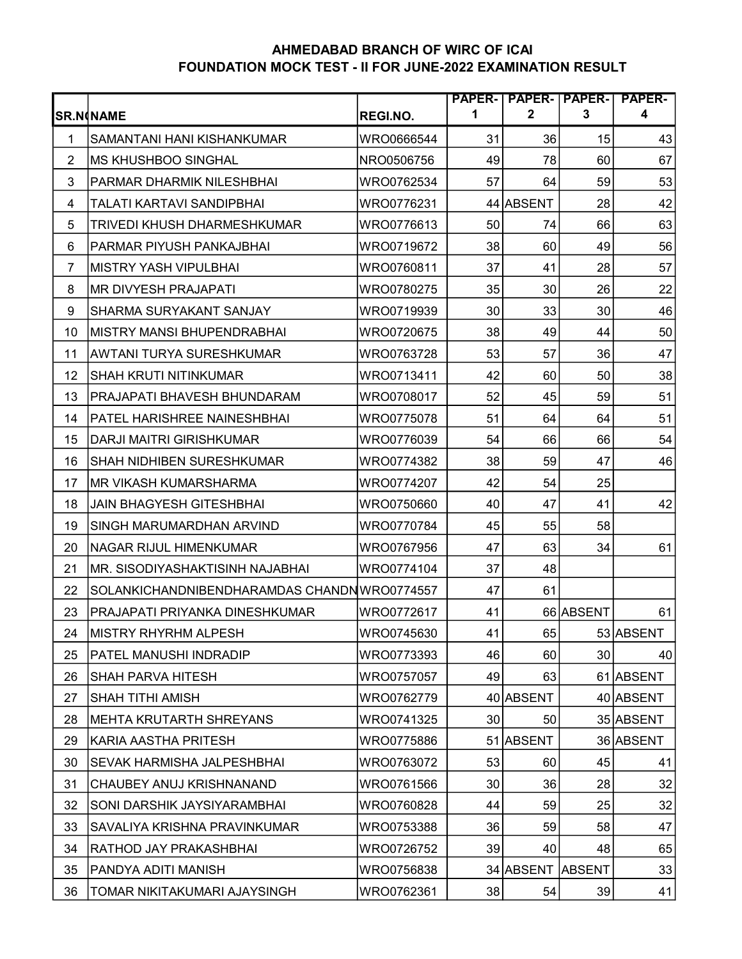## AHMEDABAD BRANCH OF WIRC OF ICAI FOUNDATION MOCK TEST - II FOR JUNE-2022 EXAMINATION RESULT

|                |                                              |            |                 |                  |               | PAPER-   PAPER-   PAPER-   PAPER- |
|----------------|----------------------------------------------|------------|-----------------|------------------|---------------|-----------------------------------|
|                | <b>SR.N</b> (NAME                            | REGI.NO.   | 1               | $\boldsymbol{2}$ | 3             | 4                                 |
| $\mathbf{1}$   | SAMANTANI HANI KISHANKUMAR                   | WRO0666544 | 31              | 36               | 15            | 43                                |
| $\overline{2}$ | <b>MS KHUSHBOO SINGHAL</b>                   | NRO0506756 | 49              | 78               | 60            | 67                                |
| 3              | PARMAR DHARMIK NILESHBHAI                    | WRO0762534 | 57              | 64               | 59            | 53                                |
| 4              | TALATI KARTAVI SANDIPBHAI                    | WRO0776231 |                 | 44 ABSENT        | 28            | 42                                |
| 5              | TRIVEDI KHUSH DHARMESHKUMAR                  | WRO0776613 | 50              | 74               | 66            | 63                                |
| 6              | PARMAR PIYUSH PANKAJBHAI                     | WRO0719672 | 38              | 60               | 49            | 56                                |
| 7              | <b>MISTRY YASH VIPULBHAI</b>                 | WRO0760811 | 37              | 41               | 28            | 57                                |
| 8              | <b>MR DIVYESH PRAJAPATI</b>                  | WRO0780275 | 35              | 30               | 26            | 22                                |
| 9              | SHARMA SURYAKANT SANJAY                      | WRO0719939 | 30 <sup>°</sup> | 33               | 30            | 46                                |
| 10             | MISTRY MANSI BHUPENDRABHAI                   | WRO0720675 | 38              | 49               | 44            | 50                                |
| 11             | AWTANI TURYA SURESHKUMAR                     | WRO0763728 | 53              | 57               | 36            | 47                                |
| 12             | <b>SHAH KRUTI NITINKUMAR</b>                 | WRO0713411 | 42              | 60               | 50            | 38                                |
| 13             | PRAJAPATI BHAVESH BHUNDARAM                  | WRO0708017 | 52              | 45               | 59            | 51                                |
| 14             | PATEL HARISHREE NAINESHBHAI                  | WRO0775078 | 51              | 64               | 64            | 51                                |
| 15             | DARJI MAITRI GIRISHKUMAR                     | WRO0776039 | 54              | 66               | 66            | 54                                |
| 16             | SHAH NIDHIBEN SURESHKUMAR                    | WRO0774382 | 38              | 59               | 47            | 46                                |
| 17             | <b>MR VIKASH KUMARSHARMA</b>                 | WRO0774207 | 42              | 54               | 25            |                                   |
| 18             | <b>JAIN BHAGYESH GITESHBHAI</b>              | WRO0750660 | 40              | 47               | 41            | 42                                |
| 19             | SINGH MARUMARDHAN ARVIND                     | WRO0770784 | 45              | 55               | 58            |                                   |
| 20             | NAGAR RIJUL HIMENKUMAR                       | WRO0767956 | 47              | 63               | 34            | 61                                |
| 21             | MR. SISODIYASHAKTISINH NAJABHAI              | WRO0774104 | 37              | 48               |               |                                   |
| 22             | SOLANKICHANDNIBENDHARAMDAS CHANDN WRO0774557 |            | 47              | 61               |               |                                   |
| 23             | PRAJAPATI PRIYANKA DINESHKUMAR               | WRO0772617 | 41              |                  | 66 ABSENT     | 61                                |
| 24             | MISTRY RHYRHM ALPESH                         | WRO0745630 | 41              | 65               |               | 53 ABSENT                         |
| 25             | PATEL MANUSHI INDRADIP                       | WRO0773393 | 46              | 60               | 30            | 40                                |
| 26             | <b>SHAH PARVA HITESH</b>                     | WRO0757057 | 49              | 63               |               | 61 ABSENT                         |
| 27             | SHAH TITHI AMISH                             | WRO0762779 |                 | 40 ABSENT        |               | 40 ABSENT                         |
| 28             | MEHTA KRUTARTH SHREYANS                      | WRO0741325 | 30              | 50               |               | 35 ABSENT                         |
| 29             | KARIA AASTHA PRITESH                         | WRO0775886 |                 | 51 ABSENT        |               | 36 ABSENT                         |
| 30             | SEVAK HARMISHA JALPESHBHAI                   | WRO0763072 | 53              | 60               | 45            | 41                                |
| 31             | <b>CHAUBEY ANUJ KRISHNANAND</b>              | WRO0761566 | 30 <sup>°</sup> | 36               | 28            | 32                                |
| 32             | SONI DARSHIK JAYSIYARAMBHAI                  | WRO0760828 | 44              | 59               | 25            | 32                                |
| 33             | SAVALIYA KRISHNA PRAVINKUMAR                 | WRO0753388 | 36              | 59               | 58            | 47                                |
| 34             | RATHOD JAY PRAKASHBHAI                       | WRO0726752 | 39              | 40               | 48            | 65                                |
| 35             | PANDYA ADITI MANISH                          | WRO0756838 |                 | 34 ABSENT        | <b>ABSENT</b> | 33                                |
| 36             | TOMAR NIKITAKUMARI AJAYSINGH                 | WRO0762361 | 38              | 54               | 39            | 41                                |